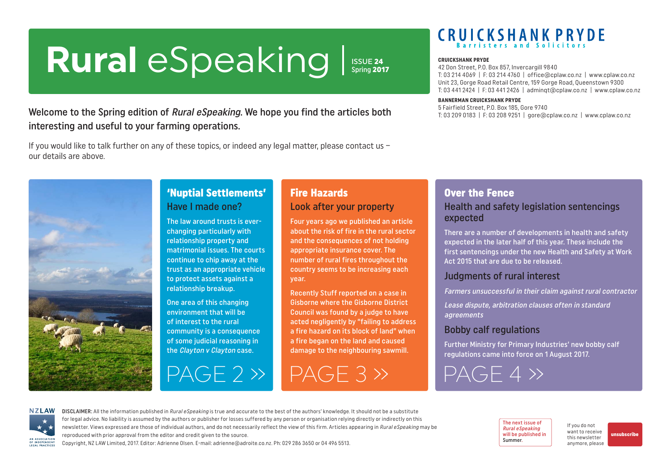# <span id="page-0-0"></span>**Rural** eSpeaking **ISSUE 24**<br>Spring 2017

Welcome to the Spring edition of Rural eSpeaking. We hope you find the articles both interesting and useful to your farming operations.

If you would like to talk further on any of these topics, or indeed any legal matter, please contact us – our details are above.



### 'Nuptial Settlements' Have I made one?

The law around trusts is everchanging particularly with relationship property and matrimonial issues. The courts continue to chip away at the trust as an appropriate vehicle to protect assets against a relationship breakup.

One area of this changing environment that will be of interest to the rural community is a consequence of some judicial reasoning in the Clayton v Clayton case.

[PAGE 2 »](#page-1-0) [PAGE 3 »](#page-2-0)

### Fire Hazards Look after your property

Four years ago we published an article about the risk of fire in the rural sector and the consequences of not holding appropriate insurance cover. The number of rural fires throughout the country seems to be increasing each year.

Recently Stuff reported on a case in Gisborne where the Gisborne District Council was found by a judge to have acted negligently by "failing to address a fire hazard on its block of land" when a fire began on the land and caused damage to the neighbouring sawmill.

# **CRUICKSHANK PRYDE**

#### **CRUICKSHANK PRYDE**

42 Don Street, P.O. Box 857, Invercargill 9840 T: 03 214 4069 | F: 03 214 4760 | office@cplaw.co.nz | www.cplaw.co.nz Unit 23, Gorge Road Retail Centre, 159 Gorge Road, Queenstown 9300 T: 03 441 2424 | F: 03 441 2426 | adminqt@cplaw.co.nz | www.cplaw.co.nz

#### **BANNERMAN CRUICKSHANK PRYDE**

5 Fairfield Street, P.O. Box 185, Gore 9740 T: 03 209 0183 | F: 03 208 9251 | gore@cplaw.co.nz | www.cplaw.co.nz

Over the Fence

### Health and safety legislation sentencings expected

There are a number of developments in health and safety expected in the later half of this year. These include the first sentencings under the new Health and Safety at Work Act 2015 that are due to be released.

#### Judgments of rural interest

Farmers unsuccessful in their claim against rural contractor

Lease dispute, arbitration clauses often in standard agreements

### Bobby calf regulations

Further Ministry for Primary Industries' new bobby calf regulations came into force on 1 August 2017.

[PAGE 4 »](#page-3-0)

**NZLAW** AN ASSOCIATION OF INDEPENDENT LEGAL PRACTICE

DISCLAIMER: All the information published in Rural eSpeaking is true and accurate to the best of the authors' knowledge. It should not be a substitute for legal advice. No liability is assumed by the authors or publisher for losses suffered by any person or organisation relying directly or indirectly on this newsletter. Views expressed are those of individual authors, and do not necessarily reflect the view of this firm. Articles appearing in Rural eSpeaking may be reproduced with prior approval from the editor and credit given to the source.

The next issue of Rural eSpeaking will be published in Summer.

If you do not want to receive this newsletter anymore, please

[unsubscribe](mailto:adrienne%40adroite.co.nz?subject=Please%20unsubscribe%20me%20from%20Rural%20eSpeaking)

Copyright, NZ LAW Limited, 2017. Editor: Adrienne Olsen. [E-mail: adrienne@adroite.co.nz.](mailto:adrienne@adroite.co.nz) Ph: 029 286 3650 or 04 496 5513.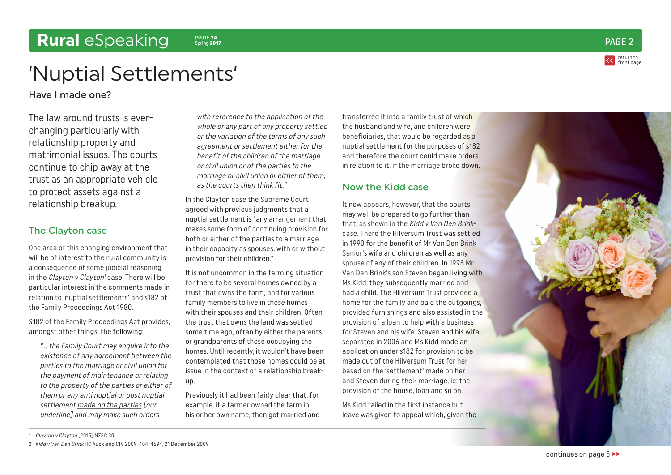#### 1 Clayton v Clayton [2015] NZSC 30

2 Kidd v Van Den Brink HC Auckland CIV 2009-404-4694, 21 December 2009

### <span id="page-1-0"></span>Rural *eSpeaking* | Spring 2017

# 'Nuptial Settlements'

Have I made one?

The law around trusts is everchanging particularly with relationship property and matrimonial issues. The courts continue to chip away at the trust as an appropriate vehicle to protect assets against a relationship breakup.

#### The Clayton case

One area of this changing environment that will be of interest to the rural community is a consequence of some judicial reasoning in the *Clayton v Clayton<sup>1</sup>* case. There will be particular interest in the comments made in relation to 'nuptial settlements' and s182 of the Family Proceedings Act 1980.

S182 of the Family Proceedings Act provides, amongst other things, the following:

"… the Family Court may enquire into the existence of any agreement between the parties to the marriage or civil union for the payment of maintenance or relating to the property of the parties or either of them or any anti nuptial or post nuptial settlement made on the parties [our underline] and may make such orders

with reference to the application of the whole or any part of any property settled or the variation of the terms of any such agreement or settlement either for the benefit of the children of the marriage or civil union or of the parties to the marriage or civil union or either of them, as the courts then think fit."

In the Clayton case the Supreme Court agreed with previous judgments that a nuptial settlement is "any arrangement that makes some form of continuing provision for both or either of the parties to a marriage in their capacity as spouses, with or without provision for their children."

It is not uncommon in the farming situation for there to be several homes owned by a trust that owns the farm, and for various family members to live in those homes with their spouses and their children. Often the trust that owns the land was settled some time ago, often by either the parents or grandparents of those occupying the homes. Until recently, it wouldn't have been contemplated that those homes could be at issue in the context of a relationship breakup.

Previously it had been fairly clear that, for example, if a farmer owned the farm in his or her own name, then got married and

transferred it into a family trust of which the husband and wife, and children were beneficiaries, that would be regarded as a nuptial settlement for the purposes of s182 and therefore the court could make orders in relation to it, if the marriage broke down.

#### Now the Kidd case

It now appears, however, that the courts may well be prepared to go further than that, as shown in the Kidd v Van Den Brink<sup>2</sup> case. There the Hilversum Trust was settled in 1990 for the benefit of Mr Van Den Brink Senior's wife and children as well as any spouse of any of their children. In 1998 Mr Van Den Brink's son Steven began living with Ms Kidd; they subsequently married and had a child. The Hilversum Trust provided a home for the family and paid the outgoings. provided furnishings and also assisted in the provision of a loan to help with a business for Steven and his wife. Steven and his wife separated in 2006 and Ms Kidd made an application under s182 for provision to be made out of the Hilversum Trust for her based on the 'settlement' made on her and Steven during their marriage, ie: the provision of the house, loan and so on.

Ms Kidd failed in the first instance but leave was given to appeal which, given the

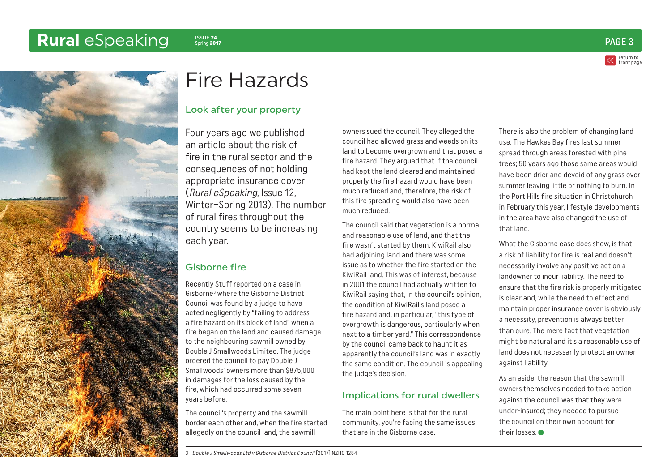# <span id="page-2-0"></span>Rural *eSpeaking* | Spring 2017





# Fire Hazards

### Look after your property

Four years ago we published an article about the risk of fire in the rural sector and the consequences of not holding appropriate insurance cover (Rural eSpeaking, Issue 12, Winter–Spring 2013). The number of rural fires throughout the country seems to be increasing each year.

### Gisborne fire

Recently Stuff reported on a case in Gisborne3 where the Gisborne District Council was found by a judge to have acted negligently by "failing to address a fire hazard on its block of land" when a fire began on the land and caused damage to the neighbouring sawmill owned by Double J Smallwoods Limited. The judge ordered the council to pay Double J Smallwoods' owners more than \$875,000 in damages for the loss caused by the fire, which had occurred some seven years before.

The council's property and the sawmill border each other and, when the fire started allegedly on the council land, the sawmill

owners sued the council. They alleged the council had allowed grass and weeds on its land to become overgrown and that posed a fire hazard. They argued that if the council had kept the land cleared and maintained properly the fire hazard would have been much reduced and, therefore, the risk of this fire spreading would also have been much reduced.

The council said that vegetation is a normal and reasonable use of land, and that the fire wasn't started by them. KiwiRail also had adjoining land and there was some issue as to whether the fire started on the KiwiRail land. This was of interest, because in 2001 the council had actually written to KiwiRail saying that, in the council's opinion, the condition of KiwiRail's land posed a fire hazard and, in particular, "this type of overgrowth is dangerous, particularly when next to a timber yard." This correspondence by the council came back to haunt it as apparently the council's land was in exactly the same condition. The council is appealing the judge's decision.

#### Implications for rural dwellers

The main point here is that for the rural community, you're facing the same issues that are in the Gisborne case.

There is also the problem of changing land use. The Hawkes Bay fires last summer spread through areas forested with pine trees; 50 years ago those same areas would have been drier and devoid of any grass over summer leaving little or nothing to burn. In the Port Hills fire situation in Christchurch in February this year, lifestyle developments in the area have also changed the use of that land.

What the Gisborne case does show, is that a risk of liability for fire is real and doesn't necessarily involve any positive act on a landowner to incur liability. The need to ensure that the fire risk is properly mitigated is clear and, while the need to effect and maintain proper insurance cover is obviously a necessity, prevention is always better than cure. The mere fact that vegetation might be natural and it's a reasonable use of land does not necessarily protect an owner against liability.

As an aside, the reason that the sawmill owners themselves needed to take action against the council was that they were under-insured; they needed to pursue the council on their own account for their losses.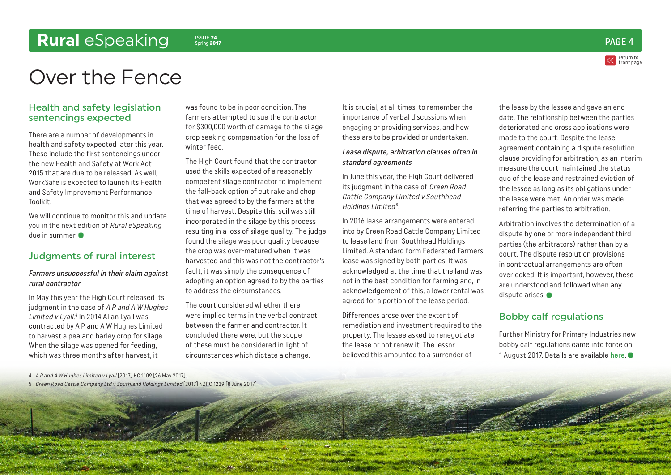# <span id="page-3-0"></span>**Rural** eSpeaking I SOUE 24



# Over the Fence

#### Health and safety legislation sentencings expected

There are a number of developments in health and safety expected later this year. These include the first sentencings under the new Health and Safety at Work Act 2015 that are due to be released. As well, WorkSafe is expected to launch its Health and Safety Improvement Performance Toolkit.

We will continue to monitor this and update you in the next edition of Rural eSpeaking due in summer.

#### Judgments of rural interest

#### Farmers unsuccessful in their claim against rural contractor

In May this year the High Court released its judgment in the case of A P and A W Hughes Limited v Lyall.<sup>4</sup> In 2014 Allan Lyall was contracted by A P and A W Hughes Limited to harvest a pea and barley crop for silage. When the silage was opened for feeding, which was three months after harvest, it

was found to be in poor condition. The farmers attempted to sue the contractor for \$300,000 worth of damage to the silage crop seeking compensation for the loss of winter feed.

The High Court found that the contractor used the skills expected of a reasonably competent silage contractor to implement the fall-back option of cut rake and chop that was agreed to by the farmers at the time of harvest. Despite this, soil was still incorporated in the silage by this process resulting in a loss of silage quality. The judge found the silage was poor quality because the crop was over-matured when it was harvested and this was not the contractor's fault; it was simply the consequence of adopting an option agreed to by the parties to address the circumstances.

The court considered whether there were implied terms in the verbal contract between the farmer and contractor. It concluded there were, but the scope of these must be considered in light of circumstances which dictate a change.

It is crucial, at all times, to remember the importance of verbal discussions when engaging or providing services, and how these are to be provided or undertaken.

#### Lease dispute, arbitration clauses often in standard agreements

In June this year, the High Court delivered its judgment in the case of Green Road Cattle Company Limited v Southhead Holdings Limited<sup>5</sup>.

In 2016 lease arrangements were entered into by Green Road Cattle Company Limited to lease land from Southhead Holdings Limited. A standard form Federated Farmers lease was signed by both parties. It was acknowledged at the time that the land was not in the best condition for farming and, in acknowledgement of this, a lower rental was agreed for a portion of the lease period.

Differences arose over the extent of remediation and investment required to the property. The lessee asked to renegotiate the lease or not renew it. The lessor believed this amounted to a surrender of

the lease by the lessee and gave an end date. The relationship between the parties deteriorated and cross applications were made to the court. Despite the lease agreement containing a dispute resolution clause providing for arbitration, as an interim measure the court maintained the status quo of the lease and restrained eviction of the lessee as long as its obligations under the lease were met. An order was made referring the parties to arbitration.

Arbitration involves the determination of a dispute by one or more independent third parties (the arbitrators) rather than by a court. The dispute resolution provisions in contractual arrangements are often overlooked. It is important, however, these are understood and followed when any dispute arises.  $\bullet$ 

#### Bobby calf regulations

Further Ministry for Primary Industries new bobby calf regulations came into force on 1 August 2017. Details are available [here](http://www.mpi.govt.nz/law-and-policy/legal-overviews/animal-welfare/animal-welfare-regulations/caring-for-bobby-calves/).